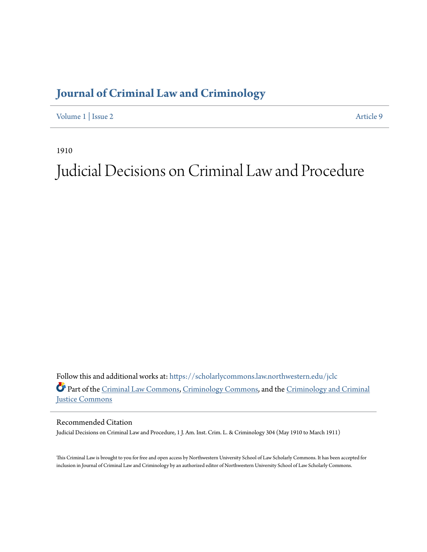# **[Journal of Criminal Law and Criminology](https://scholarlycommons.law.northwestern.edu/jclc?utm_source=scholarlycommons.law.northwestern.edu%2Fjclc%2Fvol1%2Fiss2%2F9&utm_medium=PDF&utm_campaign=PDFCoverPages)**

[Volume 1](https://scholarlycommons.law.northwestern.edu/jclc/vol1?utm_source=scholarlycommons.law.northwestern.edu%2Fjclc%2Fvol1%2Fiss2%2F9&utm_medium=PDF&utm_campaign=PDFCoverPages) | [Issue 2](https://scholarlycommons.law.northwestern.edu/jclc/vol1/iss2?utm_source=scholarlycommons.law.northwestern.edu%2Fjclc%2Fvol1%2Fiss2%2F9&utm_medium=PDF&utm_campaign=PDFCoverPages) [Article 9](https://scholarlycommons.law.northwestern.edu/jclc/vol1/iss2/9?utm_source=scholarlycommons.law.northwestern.edu%2Fjclc%2Fvol1%2Fiss2%2F9&utm_medium=PDF&utm_campaign=PDFCoverPages)

1910

# Judicial Decisions on Criminal Law and Procedure

Follow this and additional works at: [https://scholarlycommons.law.northwestern.edu/jclc](https://scholarlycommons.law.northwestern.edu/jclc?utm_source=scholarlycommons.law.northwestern.edu%2Fjclc%2Fvol1%2Fiss2%2F9&utm_medium=PDF&utm_campaign=PDFCoverPages) Part of the [Criminal Law Commons](http://network.bepress.com/hgg/discipline/912?utm_source=scholarlycommons.law.northwestern.edu%2Fjclc%2Fvol1%2Fiss2%2F9&utm_medium=PDF&utm_campaign=PDFCoverPages), [Criminology Commons](http://network.bepress.com/hgg/discipline/417?utm_source=scholarlycommons.law.northwestern.edu%2Fjclc%2Fvol1%2Fiss2%2F9&utm_medium=PDF&utm_campaign=PDFCoverPages), and the [Criminology and Criminal](http://network.bepress.com/hgg/discipline/367?utm_source=scholarlycommons.law.northwestern.edu%2Fjclc%2Fvol1%2Fiss2%2F9&utm_medium=PDF&utm_campaign=PDFCoverPages) [Justice Commons](http://network.bepress.com/hgg/discipline/367?utm_source=scholarlycommons.law.northwestern.edu%2Fjclc%2Fvol1%2Fiss2%2F9&utm_medium=PDF&utm_campaign=PDFCoverPages)

Recommended Citation

Judicial Decisions on Criminal Law and Procedure, 1 J. Am. Inst. Crim. L. & Criminology 304 (May 1910 to March 1911)

This Criminal Law is brought to you for free and open access by Northwestern University School of Law Scholarly Commons. It has been accepted for inclusion in Journal of Criminal Law and Criminology by an authorized editor of Northwestern University School of Law Scholarly Commons.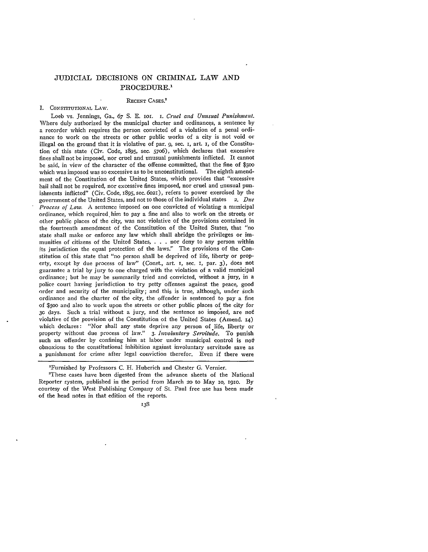## JUDICIAL DECISIONS ON CRIMINAL LAW AND PROCEDURE.'

#### RECENT CASES.<sup>2</sup>

#### I. CONSTITUTIONAL LAW.

Loeb vs. Jennings, Ga., 67 **S. E. 101. I.** *Cruel and Unusual Punishment.* Where duly authorized by the municipal charter and ordinances, a sentence by a recorder which requires the person convicted of a violation of a penal ordinance to work on the streets or other public works of a city is not void or illegal on the ground that it is violative of par. 9, sec. I, art. I, of the Constitution of this state (Civ. Code, 1895, sec. 57o6), which declares that excessive fines shall not be imposed, nor cruel and unusual punishments inflicted. It cannot be said, in view of the character of the offense committed, that the fine of **\$5o0** which was imposed was so excessive as to be unconstitutional. ment of the Constitution of the United States, which provides that "excessive bail shall not be required, nor excessive fines imposed, nor cruel and unusual punishments inflicted" (Civ. Code, 1895, sec. 6021), refers to power exercised by the government of the United States, and not to those of the individual states 2. *Due Process of Law.* A sentence imposed on one convicted of violating a municipal ordinance, which required.him to pay a fine and also to work on the streets or other public places of the city, was not violative of the provisions contained in the fourteenth amendment of the Constitution of the United States, that "no state shall make or enforce any law which shall abridge the privileges or immunities of citizens of the United States, . **.** . nor deny to any person within its jurisdiction the equal protection of the laws." The provisions of the Constitution of this state that "no person shall be deprived of life, liberty or property, except by due process of law" (Const., art. **I,** sec. I, par. 3), does not guarantee a trial by jury to one charged with the violation of a valid municipal ordinance; but he may be summarily tried and convicted, without a jury, in a police court having jurisdiction to try petty offenses against the peace, good order and security of the municipality; and this is true, although, under such ordinance and the charter of the city, the offender is sentenced to pay a fine of \$5oo and also to work upon the streets or other public places of the city for 30 days. Such a trial without a jury, and the sentence so imposed, are not violative of the provision of the Constitution of the United States (Amend. **14)** which declares: "Nor shall any state deprive any person of life, liberty or property without due process of law." **3.** *Invohntary Servitude.* To punish such an offender by confining him at labor under municipal control is not obnoxious to the constitutional inhibition against involuntary servitude save as a punishment for crime after legal conviction therefor. Even if there were

<sup>&#</sup>x27;Furnished by Professors C. H. Huberich and Chester G. Vernier. <sup>2</sup>

These cases have been digested from the advance sheets of the National Reporter system, published in the period from March 2o to May io, igio. By courtesy of the West Publishing Company of St. Paul free use has been made of the head notes in that edition of the reports.

<sup>138</sup>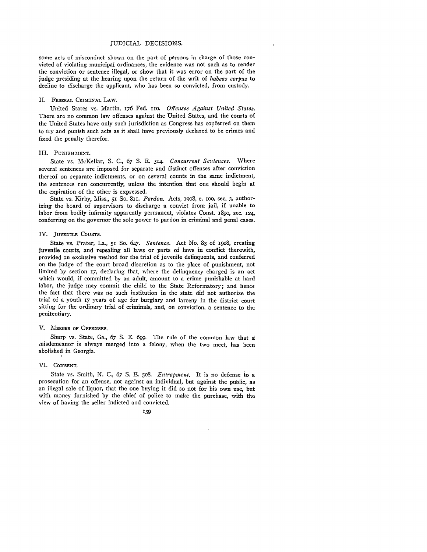some acts of misconduct shown on the part of persons in charge of those convicted of violating municipal ordinances, the evidence was not such as to render the conviction or sentence illegal, or show that it was error on the part of the judge presiding at the hearing upon the return of the writ of *habeas corpus* to decline to discharge the applicant, who has been so convicted, from custody.

#### 1I. FEDERAL CRIMINAL LAW.

United States vs. Martin, 176 Fed. *no. Offenses Against United States.* There are no common law offenses against the United States, and the courts of the United States have only such jurisdiction as Congress has conferred on them to try and punish such acts as it shall have previously declared to be crimes and fixed the penalty therefor.

#### III. **PUNISHMET.**

State vs. McKellar, **S. C.,** *67* **S. E. 314.** *Concurrent Sentences.* Where several sentences are imposed for separate and distinct offenses after conviction thereof on separate indictments, or on several ccunts in the same indictment, the sentences run concurrently, unless the intention that one should begin at the expiration of the other is expressed.

State vs. Kirby, Miss., **51** So. 811. *Pardon.* Acts, **19o8,** c. **109,** sec. 3, authorizing the board of supervisors to discharge a convict from jail, if unable to labor from bodily infirmity apparently permanent, violates Const. 1890, sec. 124, conferring on the governor the sole power to pardon in criminal and penal cases.

#### IV. **JUVENILE COURTS.**

State vs. Prater, La., 51 So. 647. *Sentence.* Act No. 83 of 19o8, creating juvenile courts, and repealing all laws or parts of laws in conflict therewith, provided an exclusive method for the trial of juvenile delinquents, and conferred on the judge of the court broad discretion as to the place of punishment, not limited by section **17,** declaring that, where the delinquency charged is an act which would, if committed **by** an adult, amount to a crime punishable at hard labor, the judge may commit the child to the State Reformatory; and hence the fact that there was no such institution in the state did not authorize the trial of a youth **17** years of age for burglary and larceny in the district court sitting for the ordinary trial of criminals, and, on conviction, a sentence to thc penitentiary.

#### V. **MERGER** OF **OFFENSES.**

Sharp vs. State, Ga., 67 **S. E.** *699.* The rule of the common law that misdemeanor is always merged into a felony, when the two meet, has been abolished in Georgia. **<sup>I</sup>**

#### VI. **CONSENT.**

State vs. Smith, **N. C.,** 67 **S.** E. **5o8.** *Entrapment.* It is no defense to a prosecution for an offense, not against an individual, but against the public, as an illegal sale of liquor, that the one buying it did so not for his own use, but with money furnished by the chief of police to make the purchase, with the view of having the seller indicted and convicted.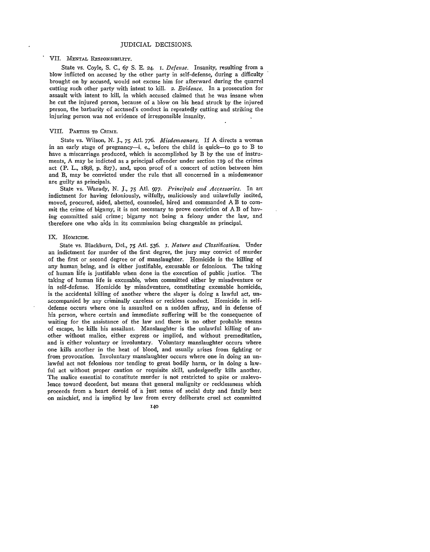#### VII. MENTAL RESPONSIBILITY.

State vs. Coyle, S. C., *67* **S.** E. **24. I.** *Defense.* Insanity, resulting from a blow inflicted on accused by the other party in self-defense, during a difficulty brought on by accused, would not excuse him for afterward during the quarrel cutting such other party with intent to kill. **2.** *Evidence.* In a prosecution for assault with intent to kill, in which accused claimed that he was insane when he cut the injured person, because of a blow on his head struck by the injured person, the barbarity of accused's conduct in repeatedly cutting and striking the injuring person was not evidence of irresponsible insanity.

#### VIII. **PARTIES TO CRIME.**

State vs. Wilson, N. *J.,* **75** Atl. 776. *Misdemeanors.* If **A** directs a woman in an early stage of pregnancy-i. e., before the child is quick-to go to B to have a miscarriage produced, which is accomplished by B by the use of instruments, **A** may be indicted as a principal offender under section 119 of the crimes act (P. L., 1898, p. **827),** and, upon proof of a concert of action between him and B, may be convicted under the rule that all concerned in a misdemeanor are guilty as principals.

State vs. Warady, N. J., 75 Atl. 977. Principals and Accessories. In an indictment for having feloniously, wilfully, maliciously and unlawfully incited, moved, procured, aided, abetted, counseled, hired and commanded **A** B to commit the crime of bigamy, it is not necessary to prove conviction of **A** B of having committed said crime; bigamy not being a felony under the law, and therefore one who alds in its commission being chargeable as principal.

#### IX. HOMICIDE.

State vs. Blackburn, Del., 75 Atd. 536. I. *Nature and Classification.* Under an indictment for murder of the first degree, the jury may convict of murder of the first or second degree or of manslaughter. Homicide is the killing of any human being, and is either justifiable, excusable or felonious. The taking of human life is justifiable when done in the execution of public justice. The taking of human life is excusable, when committed either by misadventure or in self-defense. Homicide by misadventure, constituting excusable homicide, is the accidental killing of another where the slayer is doing a lawful act, unaccompanied by any criminally careless or reckless conduct. Homicide in selfdefense occurs where one is assaulted on a sudden affray, and in defense of his person, where certain and immediate suffering will be the consequence of waiting for the assistance of the law and there is no other probable means of escape, he kills his assailant. Manslaughter is the unlawful killing of another without malice, either express or implied, and without premeditation, and is either voluntary or involuntary. Voluntary manslaughter occurs where one kills another in the heat of blood, and usually arises from fighting or from provocation. Involuntary manslaughter occurs where one in doing an unlawful act not felonious nor tending to great bodily harm, or in doing a lawful act without proper caution or requisite skill, undesignedly kills another. The malice essential to constitute murder is not restricted to spite or malevolence toward decedent, but means that general malignity or recklessness which proceeds from a heart devoid of a just sense of social duty and fatally bent on mischief, and is implied by law from every deliberate cruel act committed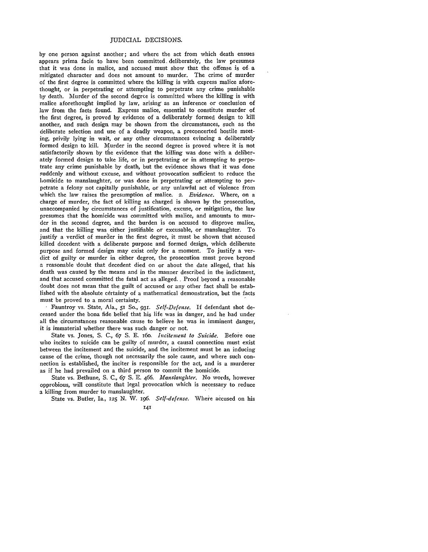by one person against another; and where the act from which death ensues appears prima facie to have been committed. deliberately, the law presumes that it was done in malice, and accused must show that the offense is *of. a,* mitigated character and does not amount to murder. The crime of murder of the first degree is committed where the killing is with express malice aforethought, or in perpetrating or attempting to perpetrate any crime punishable by death. Murder of the second degree is committed where the killing is with malice aforethought implied by law, arising as an inference or conclusion of law from the facts found. Express malice, essential to constitute murder of the first degree, is proved by evidence of a deliberately formed design to kill another, and such design may be shown from the circumstances, such as the deliberate selection and use of a deadly weapon, a preconcerted hostile meeting, privily lying in wait, or any other circumstances evincing a deliberately formed design to kill. Murder in the second degree is proved where it is not satisfactorily shown by the evidence that the killing was done with a deliberately formed design to take life, or in perpetrating or in attempting to perpetrate any crime punishable by death, but the evidence shows that it was done suddenly and without excuse, and without provocation sufficient to reduce the homicide to manslaughter, or was done in perpetrating or attempting to perpetrate a felony not capitally punishable, or any unlawful act of violence from which the law raises the presumption of malice. **2.** *Evidence.* Where, on a charge of murder, the fact of killing as charged is shown by the prosecution, unaccompanied by circumstances of justification, excuse, or mitigation, the law presumes that the homicide was committed with malice, and amounts to murder in the second degree, and the burden is on accused to disprove malice, and that the killing was either justifiable or excusable, or manslaughter. To justify a verdict of murder in the first degree, it must be shown that accused killed decedent with a deliberate purpose and formed design, which deliberate purpose and formed design may exist only for a moment. To justify a verdict of guilty or murder in either degree, the prosecution must prove beyond a reasonable doubt that decedent died on or about the date alleged, that his death was caused by the means and in the manner described in the indictment, and that accused committed the fatal act as alleged. Proof beyond a reasonable doubt does not mean that the guilt of accused or any other fact shall be established with the absolute certainty of a mathematical demonstration, but the facts must be proved to a moral certainty.

Fauntroy vs. State, Ala., **51** So., **931.** *Self-Defense.* If defendant shot deceased under the bona fide belief that his life was in danger, and he had under all the circumstances reasonable cause to believe he was in imminent danger, it is immaterial whether there was such danger or not.

State vs. Jones, S. C., 67 *S.* E. i6o. *Incitement to Suicide.* Before one who incites to suicide can be guilty of murder, a causal connection must exist between the incitement and the suicide, and the incitement must be an inducing cause of the crime, though not necessarily the sole cause, and where such connection is established, the inciter is responsible for the act, and is a murderer as if he had prevailed on a third person to commit the homicide.

State vs. Bethune, S. C., *67* **S.** E. 466. *Manslaughter.* No words, however opprobious, will constitute that legal provocation which is necessary to reduce a killing from murder to manslaughter.

State vs. Butler, Ia., 125 **N.** W. 196. *Self-defense.* Where accused on his

**IAI**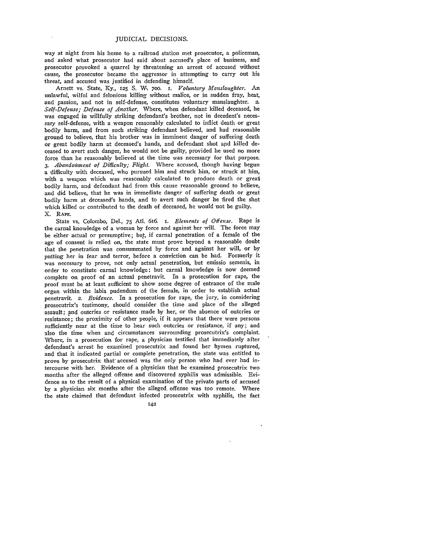way at night from his home to a railroad station met prosecutor, a policeman, and asked what prosecutor had said about accused's place of business, and prosecutor provoked a quarrel by threatening an arrest of accused without cause, the prosecutor became the aggressor in attempting to carry out his threat, and accused was justified in defending himself.

Arnett vs. State, Ky., **125 S.** W. **700. I.** *Voluntary Manslaughter.* An unlawful, wilful and felonious killing without malice, or in sudden fray, heat, and passion, and not in self-defense, constitutes voluntary manslaughter. 2. *Self-Defense; Defense of Another.* Where, when defendant killed deceased, he was engaged in willfully striking defendant's brother, not in decedent's necessary self-defense, with a weapon reasonably calculated to inflict death or great bodily harm, and from such striking defendant believed, and had reasonable ground to believe, that his brother was in imminent danger of suffering death or great bodily harm at deceased's hands, and defendant shot and killed deceased to avert such danger, he would not be guilty, provided he used no more force than he reasonably believed at the time was necessary for that purpose. *3. Abandoihment of Difficulty; Flight.* Where accused, though having begun a difficulty with deceased, who pursued him and struck him, or struck at him, with a weapon which was reasonably calculated to produce death or greati bodily harm, and defendant had from this cause reasonable ground to believe, and did believe, that he was in immediate danger of suffering death or great bodily harm at deceased's hands, and to avert such danger he fired the shot which killed or contributed to the death of deceased, he would mot be guilty. X. RAPE.

State vs. Colombo, Del., **75** Atl. 616. **I.** *Elements of Offense.* Rape is the carnal knowledge of a woman **by** force and against her will. The force may be either actual or presumptive; but, if carnal penetration of a female of the age of consent is relied on, the state must prove beyond a reasonable doubt that the penetration was consummated **by** force and against her will, or **by** putting her in fear and terror, before a conviction can be bad. Formerly it was necessary to prove, not only actual penetration, but emissio semenis, in order to constitute carnal knowledge: but carnal knowledge is now deemed complete on proof of an actual penetravit. In a prosecution for rape, the proof must be at least sufficient to show some degree of entrance of the male organ within the labia pudendum of the female, in order to establish actual penetravit. **2.** *Evidence.* In a prosecution for rape, the jury, in considering prosecutrix's testimony, should consider the time and place of the alleged assault; and outcries or resistance made by her, or the absence of outcries or resistance; the proximity of other people, if it appears that there were persons sufficiently near at the time to hear such outcries or resistance, if any; and also the time when and circumstances surrounding prosecutrix's complaint. Where, in a prosecution for rape, a physician testified that immediately after defendant's arrest he examined prosecutrix and found her hymen ruptured, and that it indicated partial or complete penetration, the state was entitled to prove **by** prosecutrix that accused was the only person who had ever had intercourse with her. Evidence of a physician that he examined prosecutrix two months after the alleged offense and discovered syphilis was admissible. Evidence as to the result of a physical examination of the private parts of accused by a physician six months after the alleged offense was too remote. Where the state claimed that defendant infected prosecutrix with syphilis, the fact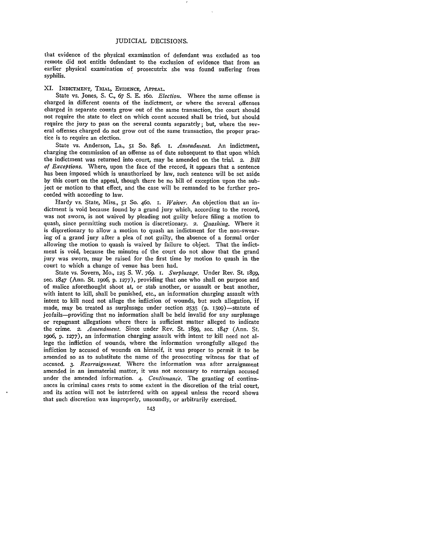that evidence of the physical examination of defendant was excluded as too remote did not entitle defendant to the exclusion of evidence that from an earlier physical examination of prosecutrix she was found suffering from syphilis.

#### XI. INDICTMENT, TRIAL, EVIDENCE, **APPEAL.**

State vs. Jones, **S.** C., 67 **S. E.** 16o. *Election.* Where the same offense is charged in different counts of the indictment, or where the several offenses charged in separate counts grow out of the same transaction, the court should not require the state to elect on which count accused shall be tried, but should require the jury to pass on the several counts separately; but, where the several offenses charged do not grow out of the same transaction, the proper practice is to require an election.

State vs. Anderson, La., **51** So. 846. **I.** *Amendment.* An indictment, charging the commission of an offense as of date subsequent to that upon which the indictment was returned into court, may be amended on the trial. *2. Bill of Exceptions.* Where, upon the face of the record, it appears that a sentence has been imposed which is unauthorized **by** law, such sentence will be set aside by this court on the appeal, though there be no bill of exception upon the subject or motion to that effect, and the case will be remanded to be further proceeded with according to law.

Hardy vs. State, Miss., **51 So.** 46o. **I.** *Waiver.* An objection that an indictment is void because found **by** a grand jury which, according to the record, was not sworn, is not waived **by** pleading not guilty before filing a motion to quash, since permitting such motion is discretionary. **2.** *Quashing.* Where it is discretionary to allow a motion to quash an indictment for the non-swearing of a grand jury after a plea of not guilty, tha absence of a formal order allowing the motion to quash is waived **by** failure to object. That the indictment is void, because the minutes of the court do not show that the grand jury was sworn, may be raised for the first time **by** motion to quash in the court to which a change of venue has been had.

State vs. Sovern, Mo., 125 **S.** W. *769.* **I.** *Surplusage.* Under Rev. St. *1899,* sec. 1847 (Ann. St. i9o6, p. 1277), providing that one who shall on purpose and of malice aforethought shoot at, or stab another, or assault or beat another, with intent to kill, shall be punished, etc., an information charging assault with intent to kill need not allege the infliction of wounds, but such allegation, if made, may be treated as surplusage under section 2535 (p. 1509)-statute of jeofails-providing that no information shall be held invalid for any surplusage or repugnant allegations where there is sufficient matter alleged to indicate the crime. *2. Amendment.* Since under Rev. St. 1899, sec. 1847 (Ann. St. 1906, p. 1277), an information charging assault with intent to kill need not allege the infliction of wounds, where the information wrongfully alleged the infliction by accused of wounds on himself, it was proper to permit it to be amended so as to substitute the name of the prosecuting witness for that of accused. *3. Rearraigninent.* Where the information was after arraignment amended in an immaterial matter, it was not necessary to rearraign accused under the amended information. 4. *Continuance.* The granting of continuances in criminal cases rests to some extent in the discretion of the trial court, and its action will not be interfered with on appeal unless the record shows that such discretion was improperly, unsoundly, or arbitrarily exercised.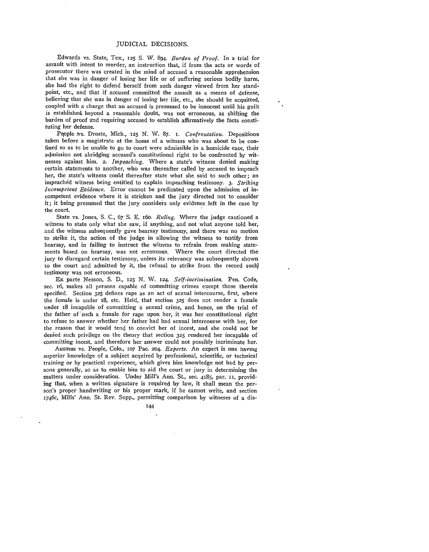Edwards vs. State, Tex., **125** S. W. 894. *Burden of Proof.* In a trial for assault with intent to murder, an instruction that, if from the acts or words of prosecutor there was created in the mind of accused a reasonable apprehension that she was in danger of losing her life or of suffering serious bodily harm, she had the right to defend herself from such danger viewed from her standpoint, etc., and that if accused committed the assault as a means of defense, believing that she was in danger of losing her life, etc., she should be acquitted, coupled with a charge that an accused is presumed to be innocent until his guilt is established beyond a reasonable doubt, was not erroneous, as shifting the burden of proof a'nd requiring accused to establish affirmatively the facts constituting her defense.

Pqople vs. Droste, Mich., **125 N.** *W.* 87. **I.** *Confrontation.* Depositions taken before a magistrate at the home of a witness who was about to be confined so as to be unable to go to court were admissible in a homicide case, their admission not abridging accused's constitutional right to be confronted by witnesses against him. **2.** *Impeaching.* Where a state's witness denied making certain statements to another, who was thereafter called **by** accused to impeach her, the state's witness could thereafter state what she said to such other; an impeached witness being entitled to explain impeaching testimony. *3. Striking Incompetent Evidence.* Error cannot be predicated upon the admission of incompetent evidence where it is stricken and the jury directed not to consider it; it being presumed that the jury considers only evidence left in the case **by** the court.

State vs. Jones, **S.** C., 67 **S. E.** 16o. *Ruling.* Where the judge cautioned a witness to state only what she saw, if anything, and not what anyone told her, and the witness subsequently gave hearsay testimony, and there was no motion to strike it, the action of the judge in allowing the witness to testify from hearsay, and in failing to instruct the witness to refrain from making statements based on hearsay, was not erroneous. Where the court directed the jury to disregard certain testimony, unless its relevancy was subsequently shown to the court and admitted **by** it, the refusal to strike from the record such) testimony was not erroneous.

Ex parte Nesson, **S.** D., 125 **N.** W. **124.** *Self-incrimination.* Pen. Code, sec. 16, makes all persons capable of committing crimes except those therein specified. Section **325** defines rape as an act of sexual intercourse, first, where the female is under 18, etc. Held, that section **325** does not render a female under 18 incapable of committing a sexual crime, and hence, on the trial of the father of'such a female for rape upon her, it was her constitutional right to refuse to answer whether her father had had sexual intercourse with her, for the reason that it would tend to convict her of incest, and she could not be denied such privilege on the theory that section **325** rendered her incapable of committing incest, and therefore her answer could not possibly incriminate her.

Ausmus vs. People, Colo., *lo7* Pac. 204. *Experts.* An expert is one having superior knowledge of a subject acquired **by** professional, scientific, or technical training or **by** practical experience, which gives him knowledge not had **by** persons generally, so as to enable him to aid the court or jury in determining the matters under consideration. Under Mill's Ann. St., sec. 4185, par. 11, providing that, when a written signature is required **by** law, it shall mean the person's proper handwriting or his proper mark, if he cannot write, and section 1746c, Mills' Ann. St. Rev. Supp., permitting comparison **by** witneses of a dis-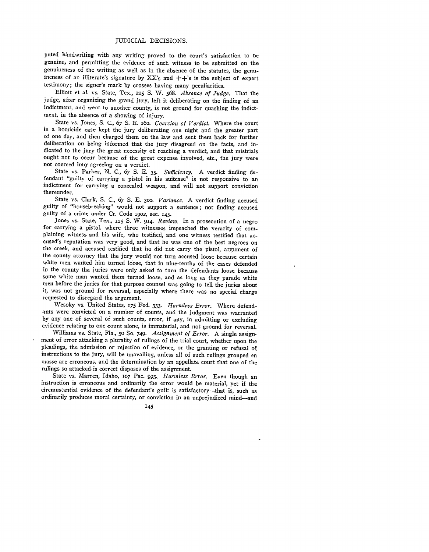puted handwriting with any writing proved to the court's satisfaction to be genuine, and permitting the evidence of such witness to be submitted on the genuineness of the writing as well as in the absence of the statutes, the genuineness of an illiterate's signature by  $XX's$  and  $++'s$  is the subject of expert testimony; the signer's mark by crosses having many peculiarities.

Elliott et al. vs. State, Tex., **125 S.** W. 568. *Absence of Judge.* That the judge, after organizing the grand jury, left it deliberating on the finding of an indictment, and went to another county, is not ground for quashing the indictment, in the absence of a showing of injury.

State vs. Jones, S. C., *67 S.* E. 16o. *Coercion of Verdict.* Where the court in a homicide case kept the jury deliberating one night and the greater part of one day, and then charged them on the law and sent them back for further deliberation on being informed that the jury disagreed on the facts, and indicated to the jury the great necessity of reaching a verdict, and that mistrials ought not to occur because of the great expense involved, etc., the jury were not coerced intq agreeing on a verdict.

State vs. Parker, N. C., *67 S.* E. *35. Sufficiency.* A verdict finding defendant "guilty of carrying a pistol in his suitcase" is not responsive to an indictment for carrying a concealed weapon, and will not support conviction thereunder.

State vs. Clark, S. C., 67 **S.** E. **300.** *Variance.* A verdict finding accused guilty of "housebreaking" would not support a sentence; not finding accused guilty of a crime under Cr. Code **19o2,** sec. 145.

Jones vs. State, Tex., **125 S.** W. 914. *Review.* In a prosecution of a negro for carrying a pistol, where three witnesses impeached the veracity of complaining witness and his wife, who testified, and one witness testified that ac-<br>cused's reputation was very good, and that he was one of the best negroes on the creek, and accused testified that he did not carry the pistol, argument of the county attorney that the jury would not turn accused loose because certain white men wanted him turned loose, that in nine-tenths of the cases defended in the county the juries were only asked to turn the defendants loose because some white man wanted them turned loose, and as long as they parade white men before the juries for that purpose counsel was going to tell the juries about it, was not ground for reversal, especially where there was no special charge requested to disregard the argument.

Wesoky vs. United States, 175 Fed. **333.** *Harmless Error.* Where defendants were convicted on a number of counts, and the judgment was warranted **by** any one of several of such counts, error, if any, in admitting or excluding evidence relating to one count alone, is immaterial, and not ground for reversal.

Williams vs. State, Fla., **50 So.** *749. Assignment of Error.* **A** single assignment of error attacking a plurality of rulings of the trial court, whether upon **the** pleadings, the admission or rejection of evidence, or the granting or refusal of instructions to the jury, will be unavailing, unless all of such rulings grouped en masse are erroneous, and the determination by an appellate court that one of the rulings so attacked-is correct disposes of the assignment.

State vs. Marren, Idaho, **107** Pac. 993. *Harmless Error.* Even though an instruction is erroneous and ordinarily the error would be material, yet if the circumstantial evidence of the defendant's guilt is satisfactory-that is, such as ordinarily produces moral certainty, or conviction in an unprejudiced mind-and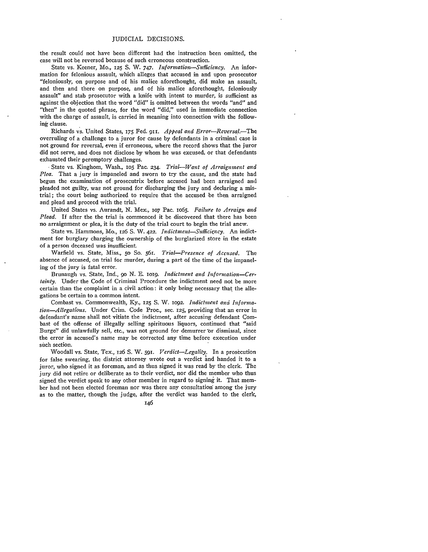the result could not have been different had the instruction been omitted, the case will not be reversed because of such erroneous construction.

State vs. Keener, Mo., 125 S. W. 747. *Information-Sufficiency*. An information for felonious assault, which alleges that accused in and upon prosecutor "feloniously, on purpose and of his malice aforethought, did make an assault, and then and there on purpose, and of his malice aforethought, feloniously assault" and stab prosecutor with a knife with intent to murder, is sufficient as against the objection that the word "did" is omitted between the words "and" and "then" in the quoted phrase, for the word "did," used in immediate connection with the charge of assault, is carried in meaning into connection with the following clause.

Richards vs. United States, *175* Fed. **911.** *Appeal and Error-Reversal.-The,* overruling of a challenge to a juror for cause **by** defendants in a criminal case is not ground for reversal, even if erroneous, where the record shows that the juror did not serve, and does not disclose **by** whom he was excused, or that defendants exhausted their peremptory challenges.

**.** State vs. Kinghom, Wash., **1O5** Pac. 234. *Trial-Want of Arraignment and Plea.* That a jury is impaneled and sworn to try the cause, and the state had begun the examination of prosecutrix before accused had been arraigned and pleaded not guilty, was not ground for discharging the jury and declaring a mistrial; the court being authorized to require that the accused be then arraigned and plead and proceed with the trial.

United States vs. Aurandt, N. Mex., 107 Pac. 1065. Failure to Arraign and *Plead.* If after the the trial is commenced it be discovered that there has been no arraignment or plea, it is the duty of the trial court to begin the trial anew.

State vs. Hammons, Mo., 126 *S.* W. 422. *Indictment-Suffcieincy.* An indictment for burglary charging the ownership of the burglarized store in the estate of a person deceased was insufficient.

Warfield vs. State, Miss., **5o** So. 561. *Trial-Presence of Accused.* The absence of accused, on trial for murder, during a part of the time of the impaneling of the jury is fatal error.

Brunaugh vs. State, Ind., go **N. E.** ioxg. *Indictment and Information-Certainty.* Under the Code of Criminal Procedure the indictment need not be more certain than the complaint in a civil action: it only being necessary that the allegations be certain to a common intent.

Combast vs. Commonwealth, Ky., **125 S.** W. **1092.** *Indictment and Information-Allegatons.* Under Crim. Code Proc., sec. **125,** providing that an error in defendant's name shall not vitiate the indictment, after accusing defendant Combast of the offense of illegally selling spirituous liquors, continued that "said Burge" did unlawfully sell, etc., was not ground for demurrer or dismissal, since the error in accused's name may be corrected any time before execution under such section.

Woodall vs. State, Tex., **126 S.** W. 591. *Verdict-Legality.* In a prosecution for false swearing, the district attorney wrote out a verdict and handed it to a juror, who signed it as foreman, and as thus signed it was read **by** the clerk. The jury did not retire or deliberate as to their verdict, nor did the member who thus signed the verdict speak to any other member in regard to signing it. That member had not been elected foreman nor was there any consultation among the jury as to the matter, though the judge, after the verdict was handed to the clerk,